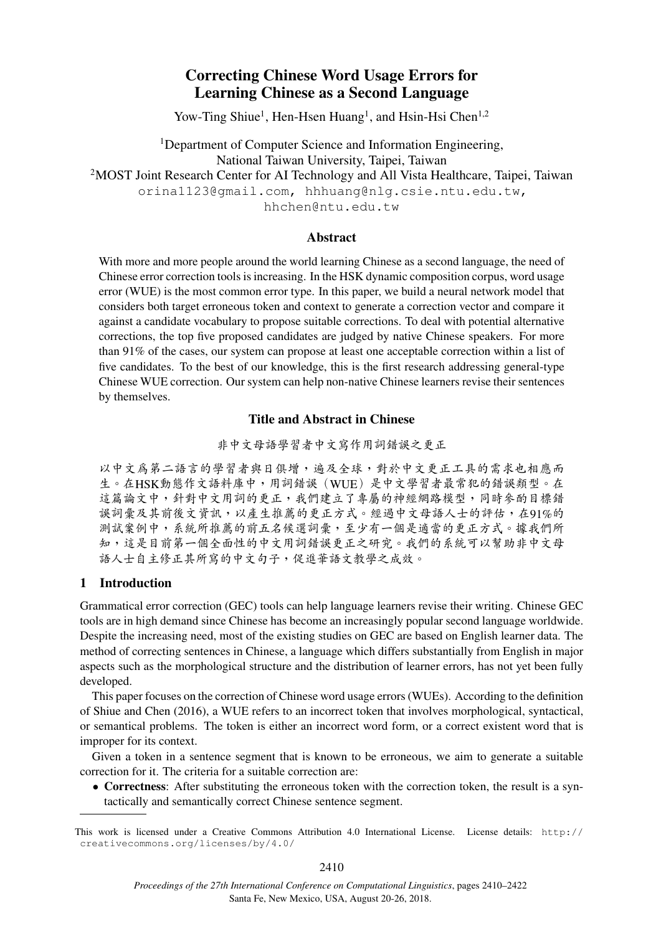# Correcting Chinese Word Usage Errors for Learning Chinese as a Second Language

Yow-Ting Shiue<sup>1</sup>, Hen-Hsen Huang<sup>1</sup>, and Hsin-Hsi Chen<sup>1,2</sup>

<sup>1</sup>Department of Computer Science and Information Engineering, National Taiwan University, Taipei, Taiwan <sup>2</sup>MOST Joint Research Center for AI Technology and All Vista Healthcare, Taipei, Taiwan orina1123@gmail.com, hhhuang@nlg.csie.ntu.edu.tw, hhchen@ntu.edu.tw

# Abstract

With more and more people around the world learning Chinese as a second language, the need of Chinese error correction tools is increasing. In the HSK dynamic composition corpus, word usage error (WUE) is the most common error type. In this paper, we build a neural network model that considers both target erroneous token and context to generate a correction vector and compare it against a candidate vocabulary to propose suitable corrections. To deal with potential alternative corrections, the top five proposed candidates are judged by native Chinese speakers. For more than 91% of the cases, our system can propose at least one acceptable correction within a list of five candidates. To the best of our knowledge, this is the first research addressing general-type Chinese WUE correction. Our system can help non-native Chinese learners revise their sentences by themselves.

# Title and Abstract in Chinese

<sup>非</sup>中文母語學習者中文寫作用詞錯誤之更正

以中文為第二語言的學習者與日俱增,遍及全球,對於中文更正工具的需求也相應而 <sup>生</sup>。在HSK動態作文語料庫中,用詞錯誤(WUE)是中文學習者最常犯的錯誤類型。<sup>在</sup> 這篇論文中,針對中文用詞的更正,我們建立了專屬的神經網路模型,同時參酌目標錯 誤詞彙及其前後文資訊,以產生推薦的更正方式。經過中文母語人士的評估,在91%的 <sup>測</sup>試案例中,系統所推薦的前五名候選詞彙,至少有一個是適當的更正方式。據我們所 <sup>知</sup>,這是目前第一個全面性的中文用詞錯誤更正之研究。我們的系統可以幫助非中文母 <sup>語</sup>人士自主修正其所寫的中文句子,促進華語文教學之成效。

# 1 Introduction

Grammatical error correction (GEC) tools can help language learners revise their writing. Chinese GEC tools are in high demand since Chinese has become an increasingly popular second language worldwide. Despite the increasing need, most of the existing studies on GEC are based on English learner data. The method of correcting sentences in Chinese, a language which differs substantially from English in major aspects such as the morphological structure and the distribution of learner errors, has not yet been fully developed.

This paper focuses on the correction of Chinese word usage errors (WUEs). According to the definition of Shiue and Chen (2016), a WUE refers to an incorrect token that involves morphological, syntactical, or semantical problems. The token is either an incorrect word form, or a correct existent word that is improper for its context.

Given a token in a sentence segment that is known to be erroneous, we aim to generate a suitable correction for it. The criteria for a suitable correction are:

• Correctness: After substituting the erroneous token with the correction token, the result is a syntactically and semantically correct Chinese sentence segment.

This work is licensed under a Creative Commons Attribution 4.0 International License. License details: http:// creativecommons.org/licenses/by/4.0/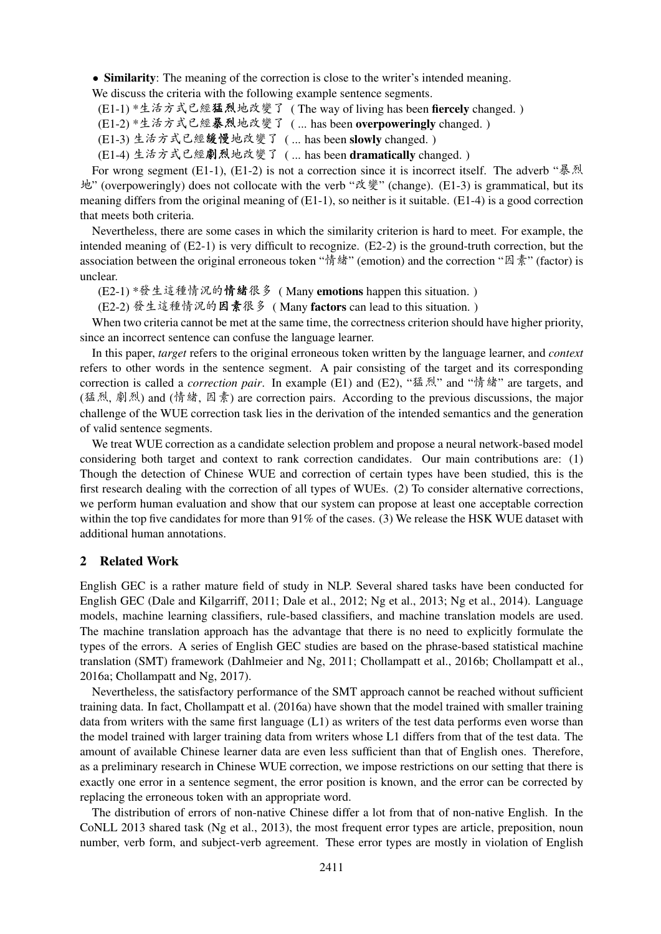• Similarity: The meaning of the correction is close to the writer's intended meaning.

We discuss the criteria with the following example sentence segments.

(E1-1) \*生活方式已經猛烈地改變了 ( The way of living has been fiercely changed. )

(E1-2) \*生活方式已經暴烈地改變了 ( ... has been overpoweringly changed. )

(E1-3) 生活方式已經緩慢地改變了 ( ... has been slowly changed. )

(E1-4) 生活方式已經劇烈地改變了 ( ... has been dramatically changed. )

For wrong segment (E1-1), (E1-2) is not a correction since it is incorrect itself. The adverb "暴烈 地" (overpoweringly) does not collocate with the verb "改變" (change). (E1-3) is grammatical, but its meaning differs from the original meaning of (E1-1), so neither is it suitable. (E1-4) is a good correction that meets both criteria.

Nevertheless, there are some cases in which the similarity criterion is hard to meet. For example, the intended meaning of (E2-1) is very difficult to recognize. (E2-2) is the ground-truth correction, but the association between the original erroneous token "情緒" (emotion) and the correction "因素" (factor) is unclear.

(E2-1) \*發生這種情況的情緒很<sup>多</sup> ( Many emotions happen this situation. )

(E2-2) 發生這種情況的因素很<sup>多</sup> ( Many factors can lead to this situation. )

When two criteria cannot be met at the same time, the correctness criterion should have higher priority, since an incorrect sentence can confuse the language learner.

In this paper, *target* refers to the original erroneous token written by the language learner, and *context* refers to other words in the sentence segment. A pair consisting of the target and its corresponding correction is called a *correction pair*. In example (E1) and (E2), "猛烈" and "情緒" are targets, and (猛烈, 劇烈) and (情緒, 因素) are correction pairs. According to the previous discussions, the major challenge of the WUE correction task lies in the derivation of the intended semantics and the generation of valid sentence segments.

We treat WUE correction as a candidate selection problem and propose a neural network-based model considering both target and context to rank correction candidates. Our main contributions are: (1) Though the detection of Chinese WUE and correction of certain types have been studied, this is the first research dealing with the correction of all types of WUEs. (2) To consider alternative corrections, we perform human evaluation and show that our system can propose at least one acceptable correction within the top five candidates for more than 91% of the cases. (3) We release the HSK WUE dataset with additional human annotations.

### 2 Related Work

English GEC is a rather mature field of study in NLP. Several shared tasks have been conducted for English GEC (Dale and Kilgarriff, 2011; Dale et al., 2012; Ng et al., 2013; Ng et al., 2014). Language models, machine learning classifiers, rule-based classifiers, and machine translation models are used. The machine translation approach has the advantage that there is no need to explicitly formulate the types of the errors. A series of English GEC studies are based on the phrase-based statistical machine translation (SMT) framework (Dahlmeier and Ng, 2011; Chollampatt et al., 2016b; Chollampatt et al., 2016a; Chollampatt and Ng, 2017).

Nevertheless, the satisfactory performance of the SMT approach cannot be reached without sufficient training data. In fact, Chollampatt et al. (2016a) have shown that the model trained with smaller training data from writers with the same first language (L1) as writers of the test data performs even worse than the model trained with larger training data from writers whose L1 differs from that of the test data. The amount of available Chinese learner data are even less sufficient than that of English ones. Therefore, as a preliminary research in Chinese WUE correction, we impose restrictions on our setting that there is exactly one error in a sentence segment, the error position is known, and the error can be corrected by replacing the erroneous token with an appropriate word.

The distribution of errors of non-native Chinese differ a lot from that of non-native English. In the CoNLL 2013 shared task (Ng et al., 2013), the most frequent error types are article, preposition, noun number, verb form, and subject-verb agreement. These error types are mostly in violation of English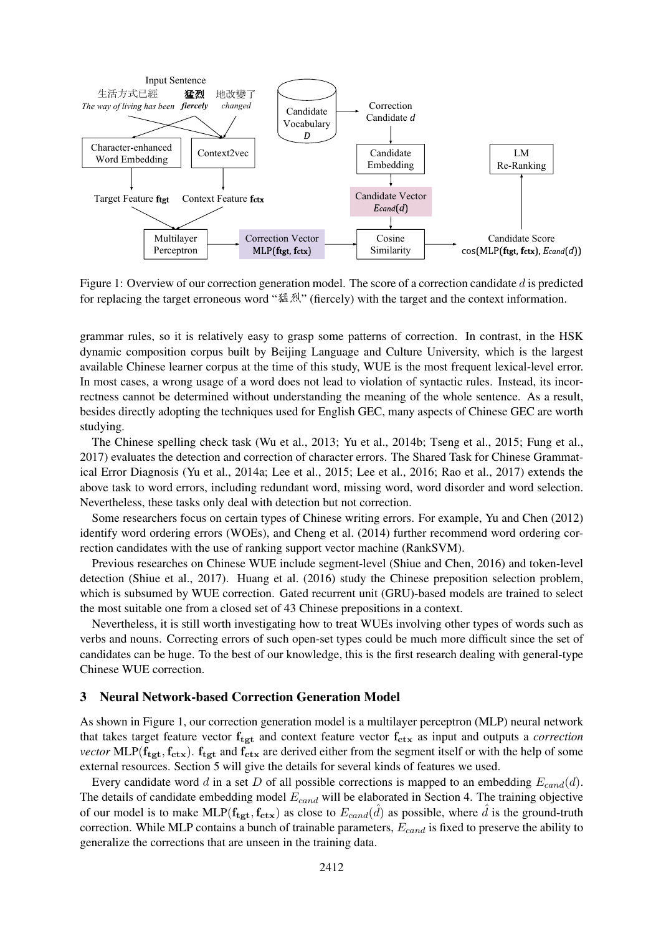

Figure 1: Overview of our correction generation model. The score of a correction candidate d is predicted for replacing the target erroneous word "猛烈" (fiercely) with the target and the context information.

grammar rules, so it is relatively easy to grasp some patterns of correction. In contrast, in the HSK dynamic composition corpus built by Beijing Language and Culture University, which is the largest available Chinese learner corpus at the time of this study, WUE is the most frequent lexical-level error. In most cases, a wrong usage of a word does not lead to violation of syntactic rules. Instead, its incorrectness cannot be determined without understanding the meaning of the whole sentence. As a result, besides directly adopting the techniques used for English GEC, many aspects of Chinese GEC are worth studying.

The Chinese spelling check task (Wu et al., 2013; Yu et al., 2014b; Tseng et al., 2015; Fung et al., 2017) evaluates the detection and correction of character errors. The Shared Task for Chinese Grammatical Error Diagnosis (Yu et al., 2014a; Lee et al., 2015; Lee et al., 2016; Rao et al., 2017) extends the above task to word errors, including redundant word, missing word, word disorder and word selection. Nevertheless, these tasks only deal with detection but not correction.

Some researchers focus on certain types of Chinese writing errors. For example, Yu and Chen (2012) identify word ordering errors (WOEs), and Cheng et al. (2014) further recommend word ordering correction candidates with the use of ranking support vector machine (RankSVM).

Previous researches on Chinese WUE include segment-level (Shiue and Chen, 2016) and token-level detection (Shiue et al., 2017). Huang et al. (2016) study the Chinese preposition selection problem, which is subsumed by WUE correction. Gated recurrent unit (GRU)-based models are trained to select the most suitable one from a closed set of 43 Chinese prepositions in a context.

Nevertheless, it is still worth investigating how to treat WUEs involving other types of words such as verbs and nouns. Correcting errors of such open-set types could be much more difficult since the set of candidates can be huge. To the best of our knowledge, this is the first research dealing with general-type Chinese WUE correction.

#### 3 Neural Network-based Correction Generation Model

As shown in Figure 1, our correction generation model is a multilayer perceptron (MLP) neural network that takes target feature vector  $f_{\text{tgt}}$  and context feature vector  $f_{\text{ctx}}$  as input and outputs a *correction vector* MLP( $f_{tgt}, f_{ctx}$ ).  $f_{tgt}$  and  $f_{ctx}$  are derived either from the segment itself or with the help of some external resources. Section 5 will give the details for several kinds of features we used.

Every candidate word d in a set D of all possible corrections is mapped to an embedding  $E_{cand}(d)$ . The details of candidate embedding model  $E_{cand}$  will be elaborated in Section 4. The training objective of our model is to make MLP( $f_{\text{tgt}}, f_{\text{ctx}}$ ) as close to  $E_{cand}(\hat{d})$  as possible, where  $\hat{d}$  is the ground-truth correction. While MLP contains a bunch of trainable parameters,  $E_{cand}$  is fixed to preserve the ability to generalize the corrections that are unseen in the training data.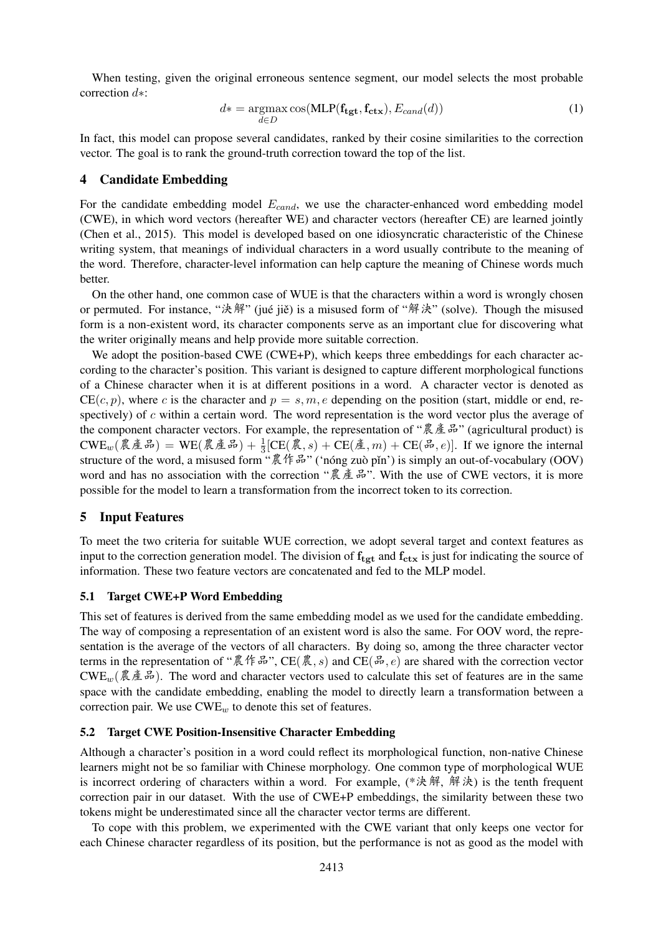When testing, given the original erroneous sentence segment, our model selects the most probable correction d∗:

$$
d* = \underset{d \in D}{\operatorname{argmax}} \cos(\text{MLP}(\mathbf{f}_{\text{tgt}}, \mathbf{f}_{\text{ctx}}), E_{cand}(d))
$$
(1)

In fact, this model can propose several candidates, ranked by their cosine similarities to the correction vector. The goal is to rank the ground-truth correction toward the top of the list.

### 4 Candidate Embedding

For the candidate embedding model  $E_{cand}$ , we use the character-enhanced word embedding model (CWE), in which word vectors (hereafter WE) and character vectors (hereafter CE) are learned jointly (Chen et al., 2015). This model is developed based on one idiosyncratic characteristic of the Chinese writing system, that meanings of individual characters in a word usually contribute to the meaning of the word. Therefore, character-level information can help capture the meaning of Chinese words much better.

On the other hand, one common case of WUE is that the characters within a word is wrongly chosen or permuted. For instance, "決解" (jué jiě) is a misused form of "解決" (solve). Though the misused form is a non-existent word, its character components serve as an important clue for discovering what the writer originally means and help provide more suitable correction.

We adopt the position-based CWE (CWE+P), which keeps three embeddings for each character according to the character's position. This variant is designed to capture different morphological functions of a Chinese character when it is at different positions in a word. A character vector is denoted as  $CE(c, p)$ , where c is the character and  $p = s, m, e$  depending on the position (start, middle or end, respectively) of  $c$  within a certain word. The word representation is the word vector plus the average of the component character vectors. For example, the representation of "農產品" (agricultural product) is  $\text{CWE}_{w}(\overline{\mathcal{R}}\tilde{\mathcal{Z}}\tilde{\mathcal{B}}) = \text{WE}(\tilde{\mathcal{R}}\tilde{\mathcal{Z}}\tilde{\mathcal{B}}) + \frac{1}{3}[\text{CE}(\overline{\mathcal{R}},s) + \text{CE}(\tilde{\mathcal{Z}},m) + \text{CE}(\tilde{\mathcal{B}},e)].$  If we ignore the internal structure of the word, a misused form "農作品" ('nóng zuò pǐn') is simply an out-of-vocabulary (OOV) word and has no association with the correction "農產品". With the use of CWE vectors, it is more possible for the model to learn a transformation from the incorrect token to its correction.

### 5 Input Features

To meet the two criteria for suitable WUE correction, we adopt several target and context features as input to the correction generation model. The division of  $f_{\text{tet}}$  and  $f_{\text{ctx}}$  is just for indicating the source of information. These two feature vectors are concatenated and fed to the MLP model.

#### 5.1 Target CWE+P Word Embedding

This set of features is derived from the same embedding model as we used for the candidate embedding. The way of composing a representation of an existent word is also the same. For OOV word, the representation is the average of the vectors of all characters. By doing so, among the three character vector terms in the representation of "農作品", CE(農, s) and CE(品, e) are shared with the correction vector CWE<sub>w</sub>(農產品). The word and character vectors used to calculate this set of features are in the same space with the candidate embedding, enabling the model to directly learn a transformation between a correction pair. We use  $\text{CWE}_{w}$  to denote this set of features.

#### 5.2 Target CWE Position-Insensitive Character Embedding

Although a character's position in a word could reflect its morphological function, non-native Chinese learners might not be so familiar with Chinese morphology. One common type of morphological WUE is incorrect ordering of characters within a word. For example, (\*決解, 解決) is the tenth frequent correction pair in our dataset. With the use of CWE+P embeddings, the similarity between these two tokens might be underestimated since all the character vector terms are different.

To cope with this problem, we experimented with the CWE variant that only keeps one vector for each Chinese character regardless of its position, but the performance is not as good as the model with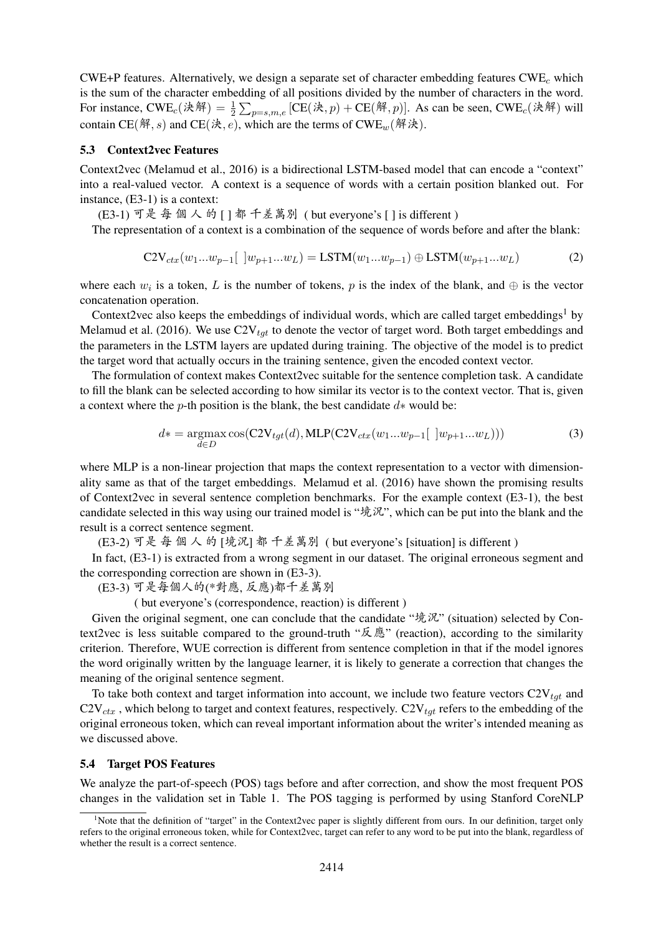CWE+P features. Alternatively, we design a separate set of character embedding features  $CWE<sub>c</sub>$  which is the sum of the character embedding of all positions divided by the number of characters in the word. For instance,  $CWE_c(\mathcal{H}\mathbb{H}) = \frac{1}{2} \sum_{p=s,m,e} [CE(\mathcal{H}, p) + CE(\mathcal{H}, p)].$  As can be seen,  $CWE_c(\mathcal{H}\mathbb{H})$  will contain CE(解, s) and CE(決, e), which are the terms of CWE<sub>w</sub>(解決).

#### 5.3 Context2vec Features

Context2vec (Melamud et al., 2016) is a bidirectional LSTM-based model that can encode a "context" into a real-valued vector. A context is a sequence of words with a certain position blanked out. For instance, (E3-1) is a context:

(E3-1) 可<sup>是</sup> 每 <sup>個</sup> <sup>人</sup> 的 [ ] <sup>都</sup> 千差萬<sup>別</sup> ( but everyone's [ ] is different )

The representation of a context is a combination of the sequence of words before and after the blank:

$$
C2V_{ctx}(w_1...w_{p-1}[\ ]w_{p+1}...w_L) = LSTM(w_1...w_{p-1}) \oplus LSTM(w_{p+1}...w_L)
$$
 (2)

where each  $w_i$  is a token, L is the number of tokens, p is the index of the blank, and  $\oplus$  is the vector concatenation operation.

Context2vec also keeps the embeddings of individual words, which are called target embeddings<sup>1</sup> by Melamud et al. (2016). We use  $C2V_{tqt}$  to denote the vector of target word. Both target embeddings and the parameters in the LSTM layers are updated during training. The objective of the model is to predict the target word that actually occurs in the training sentence, given the encoded context vector.

The formulation of context makes Context2vec suitable for the sentence completion task. A candidate to fill the blank can be selected according to how similar its vector is to the context vector. That is, given a context where the *p*-th position is the blank, the best candidate  $d*$  would be:

$$
d* = \underset{d \in D}{\operatorname{argmax}} \cos(C2V_{tgt}(d), \text{MLP}(C2V_{ctx}(w_1...w_{p-1}[\ ]w_{p+1}...w_L)))
$$
 (3)

where MLP is a non-linear projection that maps the context representation to a vector with dimensionality same as that of the target embeddings. Melamud et al. (2016) have shown the promising results of Context2vec in several sentence completion benchmarks. For the example context (E3-1), the best candidate selected in this way using our trained model is "境況", which can be put into the blank and the result is a correct sentence segment.

(E3-2) 可<sup>是</sup> 每 <sup>個</sup> <sup>人</sup> 的 [境況] <sup>都</sup> 千差萬<sup>別</sup> ( but everyone's [situation] is different )

In fact, (E3-1) is extracted from a wrong segment in our dataset. The original erroneous segment and the corresponding correction are shown in (E3-3).

(E3-3) 可是每個人的(\*對應, 反應)都千差萬<sup>別</sup>

( but everyone's (correspondence, reaction) is different )

Given the original segment, one can conclude that the candidate "境況" (situation) selected by Context2vec is less suitable compared to the ground-truth "反應" (reaction), according to the similarity criterion. Therefore, WUE correction is different from sentence completion in that if the model ignores the word originally written by the language learner, it is likely to generate a correction that changes the meaning of the original sentence segment.

To take both context and target information into account, we include two feature vectors  $C2V_{tgt}$  and  $C2V_{ctx}$ , which belong to target and context features, respectively.  $C2V_{tdt}$  refers to the embedding of the original erroneous token, which can reveal important information about the writer's intended meaning as we discussed above.

#### 5.4 Target POS Features

We analyze the part-of-speech (POS) tags before and after correction, and show the most frequent POS changes in the validation set in Table 1. The POS tagging is performed by using Stanford CoreNLP

<sup>&</sup>lt;sup>1</sup>Note that the definition of "target" in the Context2vec paper is slightly different from ours. In our definition, target only refers to the original erroneous token, while for Context2vec, target can refer to any word to be put into the blank, regardless of whether the result is a correct sentence.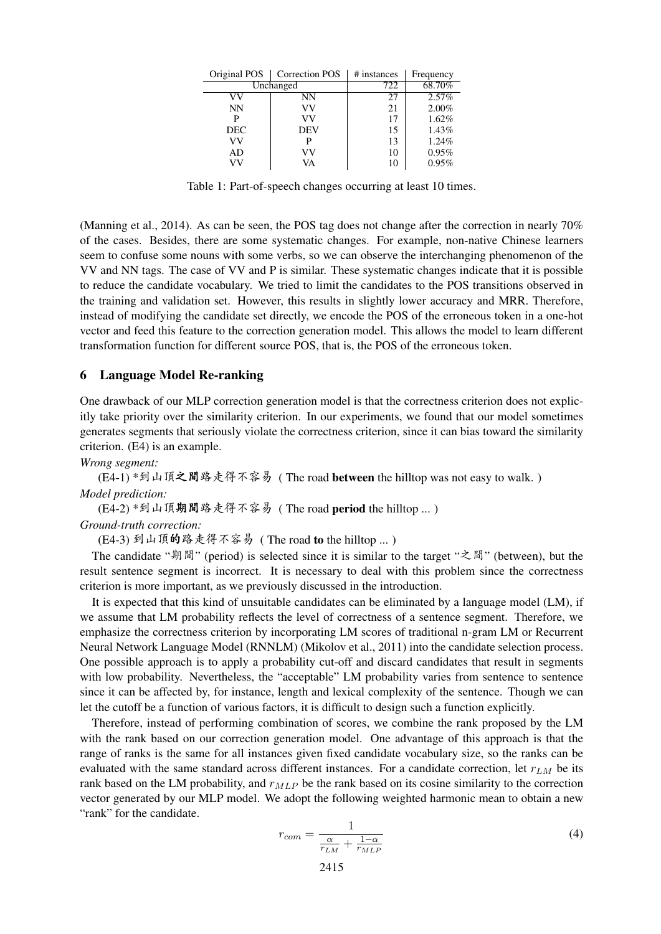| Original POS | <b>Correction POS</b> | # instances | Frequency |
|--------------|-----------------------|-------------|-----------|
|              | Unchanged             | 722         | 68.70%    |
|              | NΝ                    | 27          | 2.57%     |
| <b>NN</b>    | VV                    | 21          | 2.00%     |
| Р            | vv                    | 17          | 1.62%     |
| <b>DEC</b>   | <b>DEV</b>            | 15          | 1.43%     |
| vv           |                       | 13          | 1.24%     |
| AD           | VV                    | 10          | 0.95%     |
| VV           | VA                    | 10          | 0.95%     |

Table 1: Part-of-speech changes occurring at least 10 times.

(Manning et al., 2014). As can be seen, the POS tag does not change after the correction in nearly 70% of the cases. Besides, there are some systematic changes. For example, non-native Chinese learners seem to confuse some nouns with some verbs, so we can observe the interchanging phenomenon of the VV and NN tags. The case of VV and P is similar. These systematic changes indicate that it is possible to reduce the candidate vocabulary. We tried to limit the candidates to the POS transitions observed in the training and validation set. However, this results in slightly lower accuracy and MRR. Therefore, instead of modifying the candidate set directly, we encode the POS of the erroneous token in a one-hot vector and feed this feature to the correction generation model. This allows the model to learn different transformation function for different source POS, that is, the POS of the erroneous token.

#### 6 Language Model Re-ranking

One drawback of our MLP correction generation model is that the correctness criterion does not explicitly take priority over the similarity criterion. In our experiments, we found that our model sometimes generates segments that seriously violate the correctness criterion, since it can bias toward the similarity criterion. (E4) is an example.

*Wrong segment:*

(E4-1) \*到山頂之間路走得不容易 ( The road between the hilltop was not easy to walk. ) *Model prediction:*

(E4-2) \*到山頂期間路走得不容<sup>易</sup> ( The road period the hilltop ... )

#### *Ground-truth correction:*

(E4-3) <sup>到</sup>山頂的路走得不容<sup>易</sup> ( The road to the hilltop ... )

The candidate "期間" (period) is selected since it is similar to the target "之間" (between), but the result sentence segment is incorrect. It is necessary to deal with this problem since the correctness criterion is more important, as we previously discussed in the introduction.

It is expected that this kind of unsuitable candidates can be eliminated by a language model (LM), if we assume that LM probability reflects the level of correctness of a sentence segment. Therefore, we emphasize the correctness criterion by incorporating LM scores of traditional n-gram LM or Recurrent Neural Network Language Model (RNNLM) (Mikolov et al., 2011) into the candidate selection process. One possible approach is to apply a probability cut-off and discard candidates that result in segments with low probability. Nevertheless, the "acceptable" LM probability varies from sentence to sentence since it can be affected by, for instance, length and lexical complexity of the sentence. Though we can let the cutoff be a function of various factors, it is difficult to design such a function explicitly.

Therefore, instead of performing combination of scores, we combine the rank proposed by the LM with the rank based on our correction generation model. One advantage of this approach is that the range of ranks is the same for all instances given fixed candidate vocabulary size, so the ranks can be evaluated with the same standard across different instances. For a candidate correction, let  $r_{LM}$  be its rank based on the LM probability, and  $r_{MLP}$  be the rank based on its cosine similarity to the correction vector generated by our MLP model. We adopt the following weighted harmonic mean to obtain a new "rank" for the candidate.

$$
r_{com} = \frac{1}{\frac{\alpha}{r_{LM}} + \frac{1-\alpha}{r_{MLP}}} \tag{4}
$$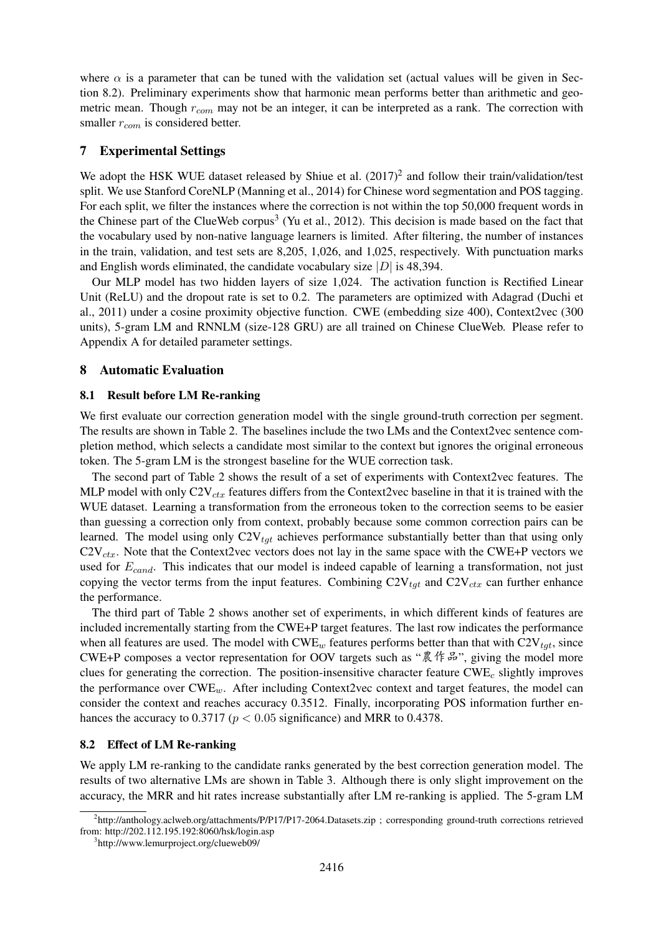where  $\alpha$  is a parameter that can be tuned with the validation set (actual values will be given in Section 8.2). Preliminary experiments show that harmonic mean performs better than arithmetic and geometric mean. Though  $r_{com}$  may not be an integer, it can be interpreted as a rank. The correction with smaller  $r_{com}$  is considered better.

# 7 Experimental Settings

We adopt the HSK WUE dataset released by Shiue et al.  $(2017)^2$  and follow their train/validation/test split. We use Stanford CoreNLP (Manning et al., 2014) for Chinese word segmentation and POS tagging. For each split, we filter the instances where the correction is not within the top 50,000 frequent words in the Chinese part of the ClueWeb corpus<sup>3</sup> (Yu et al., 2012). This decision is made based on the fact that the vocabulary used by non-native language learners is limited. After filtering, the number of instances in the train, validation, and test sets are 8,205, 1,026, and 1,025, respectively. With punctuation marks and English words eliminated, the candidate vocabulary size  $|D|$  is 48,394.

Our MLP model has two hidden layers of size 1,024. The activation function is Rectified Linear Unit (ReLU) and the dropout rate is set to 0.2. The parameters are optimized with Adagrad (Duchi et al., 2011) under a cosine proximity objective function. CWE (embedding size 400), Context2vec (300 units), 5-gram LM and RNNLM (size-128 GRU) are all trained on Chinese ClueWeb. Please refer to Appendix A for detailed parameter settings.

#### 8 Automatic Evaluation

#### 8.1 Result before LM Re-ranking

We first evaluate our correction generation model with the single ground-truth correction per segment. The results are shown in Table 2. The baselines include the two LMs and the Context2vec sentence completion method, which selects a candidate most similar to the context but ignores the original erroneous token. The 5-gram LM is the strongest baseline for the WUE correction task.

The second part of Table 2 shows the result of a set of experiments with Context2vec features. The MLP model with only  $C2V_{ctr}$  features differs from the Context2vec baseline in that it is trained with the WUE dataset. Learning a transformation from the erroneous token to the correction seems to be easier than guessing a correction only from context, probably because some common correction pairs can be learned. The model using only  $C2V_{tdt}$  achieves performance substantially better than that using only  $C2V_{ctx}$ . Note that the Context2vec vectors does not lay in the same space with the CWE+P vectors we used for  $E_{cand}$ . This indicates that our model is indeed capable of learning a transformation, not just copying the vector terms from the input features. Combining  $C2V_{tgt}$  and  $C2V_{ctx}$  can further enhance the performance.

The third part of Table 2 shows another set of experiments, in which different kinds of features are included incrementally starting from the CWE+P target features. The last row indicates the performance when all features are used. The model with  $CWE_w$  features performs better than that with  $C2V_{tot}$ , since CWE+P composes a vector representation for OOV targets such as "農作品", giving the model more clues for generating the correction. The position-insensitive character feature  $CWE_c$  slightly improves the performance over  $\text{CWE}_w$ . After including Context2vec context and target features, the model can consider the context and reaches accuracy 0.3512. Finally, incorporating POS information further enhances the accuracy to 0.3717 ( $p < 0.05$  significance) and MRR to 0.4378.

### 8.2 Effect of LM Re-ranking

We apply LM re-ranking to the candidate ranks generated by the best correction generation model. The results of two alternative LMs are shown in Table 3. Although there is only slight improvement on the accuracy, the MRR and hit rates increase substantially after LM re-ranking is applied. The 5-gram LM

<sup>2</sup> http://anthology.aclweb.org/attachments/P/P17/P17-2064.Datasets.zip ; corresponding ground-truth corrections retrieved from: http://202.112.195.192:8060/hsk/login.asp

<sup>3</sup> http://www.lemurproject.org/clueweb09/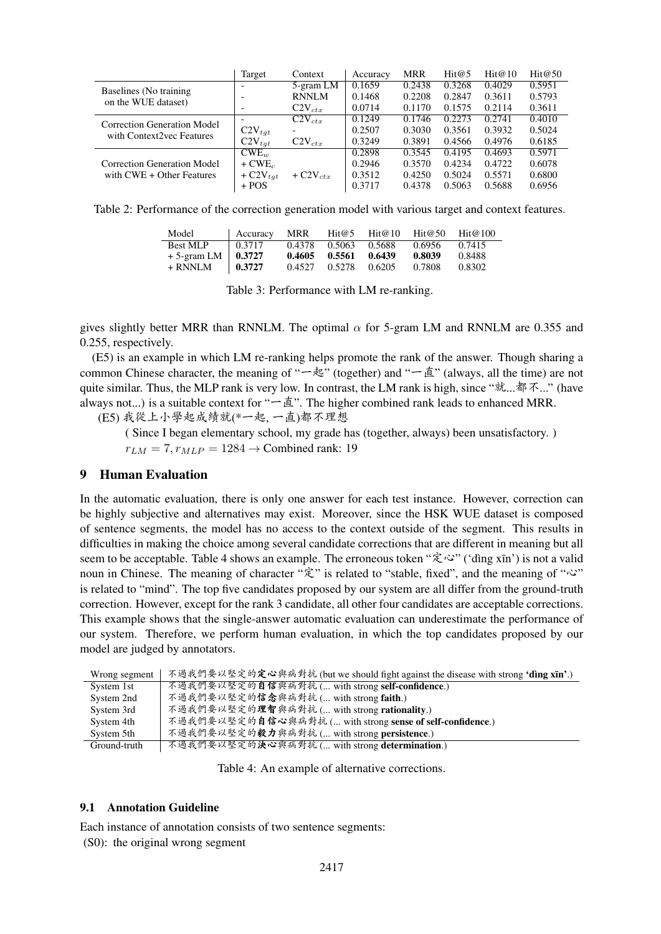|                             | Target                 | Context                | Accuracy | <b>MRR</b> | Hit@5  | Hit@10 | Hit@50 |
|-----------------------------|------------------------|------------------------|----------|------------|--------|--------|--------|
| Baselines (No training      |                        | 5-gram LM              | 0.1659   | 0.2438     | 0.3268 | 0.4029 | 0.5951 |
| on the WUE dataset)         |                        | <b>RNNLM</b>           | 0.1468   | 0.2208     | 0.2847 | 0.3611 | 0.5793 |
|                             |                        | $C2V_{ctx}$            | 0.0714   | 0.1170     | 0.1575 | 0.2114 | 0.3611 |
| Correction Generation Model |                        | $C2V_{ctx}$            | 0.1249   | 0.1746     | 0.2273 | 0.2741 | 0.4010 |
| with Context2vec Features   | $C2V_{tat}$            |                        | 0.2507   | 0.3030     | 0.3561 | 0.3932 | 0.5024 |
|                             | $C2V_{tat}$            | $C2V_{ctx}$            | 0.3249   | 0.3891     | 0.4566 | 0.4976 | 0.6185 |
|                             | $CWE_{uv}$             |                        | 0.2898   | 0.3545     | 0.4195 | 0.4693 | 0.5971 |
| Correction Generation Model | $+$ CWE <sub>c</sub>   |                        | 0.2946   | 0.3570     | 0.4234 | 0.4722 | 0.6078 |
| with $CWE + Other Features$ | $+$ C2V <sub>tqt</sub> | $+$ C2V <sub>ctx</sub> | 0.3512   | 0.4250     | 0.5024 | 0.5571 | 0.6800 |
|                             | $+$ POS                |                        | 0.3717   | 0.4378     | 0.5063 | 0.5688 | 0.6956 |

Table 2: Performance of the correction generation model with various target and context features.

| Model                        | Accuracy | MRR    | Hit@5         | Hit@10 | Hit@50 | $\text{Hit}$ $@$ 100 |
|------------------------------|----------|--------|---------------|--------|--------|----------------------|
| <b>Best MLP</b>              | 0.3717   |        | 0.4378 0.5063 | 0.5688 | 0.6956 | 0.7415               |
| $+5$ -gram LM $\vert$ 0.3727 |          | 0.4605 | 0.5561        | 0.6439 | 0.8039 | 0.8488               |
| + RNNLM                      | 0.3727   | 0.4527 | 0.5278        | 0.6205 | 0.7808 | 0.8302               |

Table 3: Performance with LM re-ranking.

gives slightly better MRR than RNNLM. The optimal  $\alpha$  for 5-gram LM and RNNLM are 0.355 and 0.255, respectively.

(E5) is an example in which LM re-ranking helps promote the rank of the answer. Though sharing a common Chinese character, the meaning of "一起" (together) and "一直" (always, all the time) are not quite similar. Thus, the MLP rank is very low. In contrast, the LM rank is high, since "就...都不..." (have always not...) is a suitable context for " $-\n\mathbb{1}$ ". The higher combined rank leads to enhanced MRR.

(E5) 我從上小學起成績就(\*一起, <sup>一</sup>直)都不理<sup>想</sup>

( Since I began elementary school, my grade has (together, always) been unsatisfactory. )  $r_{LM} = 7, r_{MLP} = 1284 \rightarrow$  Combined rank: 19

### 9 Human Evaluation

In the automatic evaluation, there is only one answer for each test instance. However, correction can be highly subjective and alternatives may exist. Moreover, since the HSK WUE dataset is composed of sentence segments, the model has no access to the context outside of the segment. This results in difficulties in making the choice among several candidate corrections that are different in meaning but all seem to be acceptable. Table 4 shows an example. The erroneous token "定心" ('dìng xīn') is not a valid noun in Chinese. The meaning of character "定" is related to "stable, fixed", and the meaning of "心" is related to "mind". The top five candidates proposed by our system are all differ from the ground-truth correction. However, except for the rank 3 candidate, all other four candidates are acceptable corrections. This example shows that the single-answer automatic evaluation can underestimate the performance of our system. Therefore, we perform human evaluation, in which the top candidates proposed by our model are judged by annotators.

| Wrong segment | 不過我們要以堅定的定心與病對抗 (but we should fight against the disease with strong 'ding xīn'.) |
|---------------|-----------------------------------------------------------------------------------|
| System 1st    | 不過我們要以堅定的自信與病對抗( with strong self-confidence.)                                    |
| System 2nd    | 不過我們要以堅定的信念與病對抗( with strong faith.)                                              |
| System 3rd    | 不過我們要以堅定的理智與病對抗( with strong rationality.)                                        |
| System 4th    | 不過我們要以堅定的自信心與病對抗( with strong sense of self-confidence.)                          |
| System 5th    | 不過我們要以堅定的毅力與病對抗( with strong persistence.)                                        |
| Ground-truth  | 不過我們要以堅定的決心與病對抗( with strong determination.)                                      |
|               |                                                                                   |

Table 4: An example of alternative corrections.

## 9.1 Annotation Guideline

Each instance of annotation consists of two sentence segments:

(S0): the original wrong segment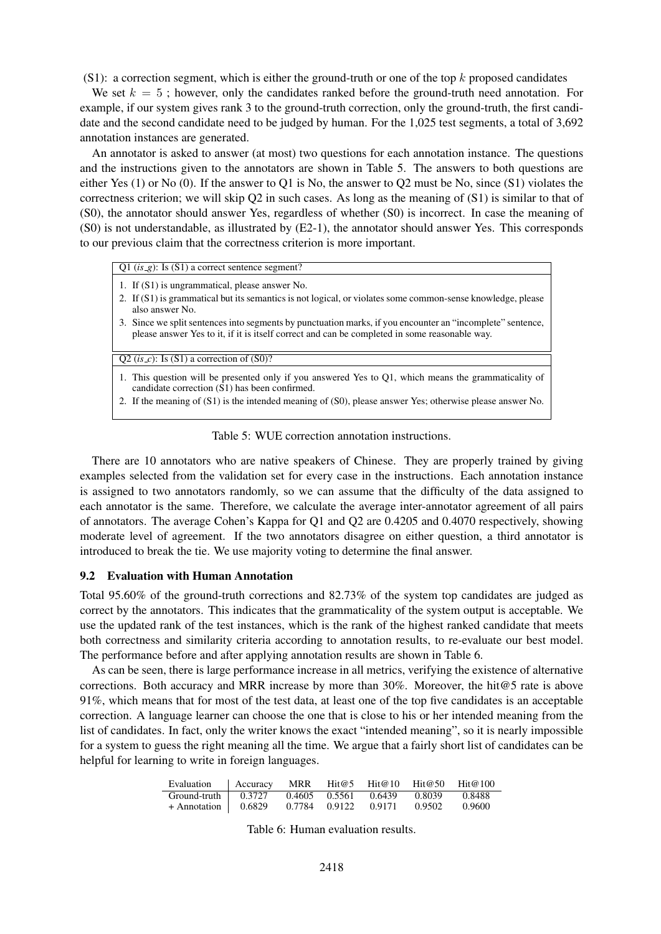(S1): a correction segment, which is either the ground-truth or one of the top  $k$  proposed candidates

We set  $k = 5$ ; however, only the candidates ranked before the ground-truth need annotation. For example, if our system gives rank 3 to the ground-truth correction, only the ground-truth, the first candidate and the second candidate need to be judged by human. For the 1,025 test segments, a total of 3,692 annotation instances are generated.

An annotator is asked to answer (at most) two questions for each annotation instance. The questions and the instructions given to the annotators are shown in Table 5. The answers to both questions are either Yes (1) or No (0). If the answer to Q1 is No, the answer to Q2 must be No, since (S1) violates the correctness criterion; we will skip Q2 in such cases. As long as the meaning of (S1) is similar to that of (S0), the annotator should answer Yes, regardless of whether (S0) is incorrect. In case the meaning of (S0) is not understandable, as illustrated by (E2-1), the annotator should answer Yes. This corresponds to our previous claim that the correctness criterion is more important.

| Q1 $(is_g)$ : Is $(S1)$ a correct sentence segment?                                                                                                                                                         |
|-------------------------------------------------------------------------------------------------------------------------------------------------------------------------------------------------------------|
| 1. If (S1) is ungrammatical, please answer No.                                                                                                                                                              |
| 2. If (S1) is grammatical but its semantics is not logical, or violates some common-sense knowledge, please<br>also answer No.                                                                              |
| 3. Since we split sentences into segments by punctuation marks, if you encounter an "incomplete" sentence.<br>please answer Yes to it, if it is itself correct and can be completed in some reasonable way. |

 $Q2 (is_c)$ : Is  $(S1)$  a correction of  $(S0)$ ?

- 1. This question will be presented only if you answered Yes to Q1, which means the grammaticality of candidate correction (S1) has been confirmed.
- 2. If the meaning of (S1) is the intended meaning of (S0), please answer Yes; otherwise please answer No.

Table 5: WUE correction annotation instructions.

There are 10 annotators who are native speakers of Chinese. They are properly trained by giving examples selected from the validation set for every case in the instructions. Each annotation instance is assigned to two annotators randomly, so we can assume that the difficulty of the data assigned to each annotator is the same. Therefore, we calculate the average inter-annotator agreement of all pairs of annotators. The average Cohen's Kappa for Q1 and Q2 are 0.4205 and 0.4070 respectively, showing moderate level of agreement. If the two annotators disagree on either question, a third annotator is introduced to break the tie. We use majority voting to determine the final answer.

#### 9.2 Evaluation with Human Annotation

Total 95.60% of the ground-truth corrections and 82.73% of the system top candidates are judged as correct by the annotators. This indicates that the grammaticality of the system output is acceptable. We use the updated rank of the test instances, which is the rank of the highest ranked candidate that meets both correctness and similarity criteria according to annotation results, to re-evaluate our best model. The performance before and after applying annotation results are shown in Table 6.

As can be seen, there is large performance increase in all metrics, verifying the existence of alternative corrections. Both accuracy and MRR increase by more than 30%. Moreover, the hit@5 rate is above 91%, which means that for most of the test data, at least one of the top five candidates is an acceptable correction. A language learner can choose the one that is close to his or her intended meaning from the list of candidates. In fact, only the writer knows the exact "intended meaning", so it is nearly impossible for a system to guess the right meaning all the time. We argue that a fairly short list of candidates can be helpful for learning to write in foreign languages.

| Evaluation                    | Accuracy MRR |               | Hit@5 Hit@10 Hit@50         |        | $\text{Hi}(\omega 100$ |
|-------------------------------|--------------|---------------|-----------------------------|--------|------------------------|
| Ground-truth $\vert$ 0.3727   |              |               | 0.4605 0.5561 0.6439 0.8039 |        | 0.8488                 |
| $+$ Annotation $\vert$ 0.6829 |              | 0.7784 0.9122 | 0.9171                      | 0.9502 | 0.9600                 |

Table 6: Human evaluation results.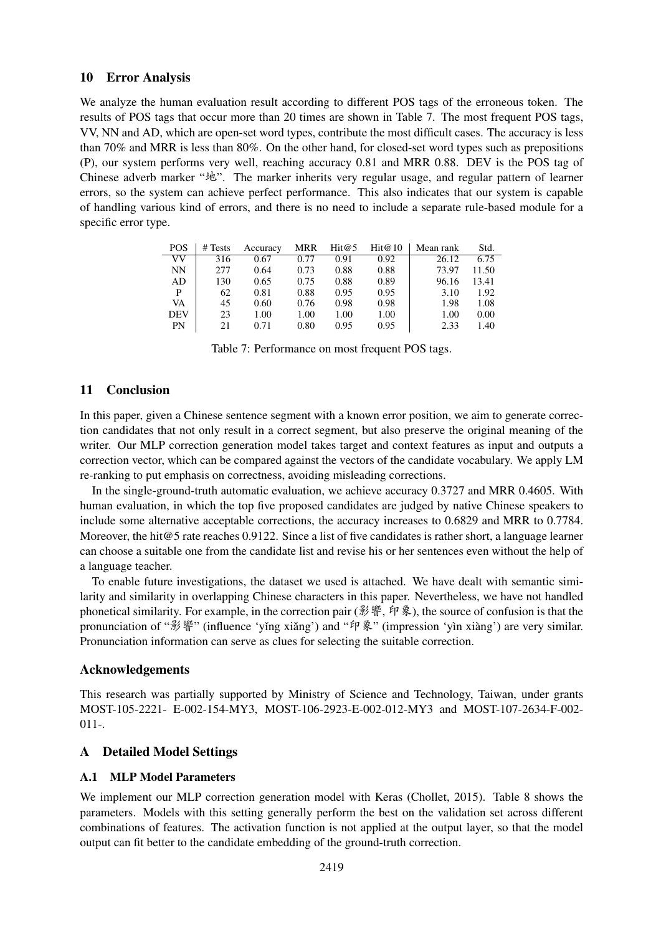# 10 Error Analysis

We analyze the human evaluation result according to different POS tags of the erroneous token. The results of POS tags that occur more than 20 times are shown in Table 7. The most frequent POS tags, VV, NN and AD, which are open-set word types, contribute the most difficult cases. The accuracy is less than 70% and MRR is less than 80%. On the other hand, for closed-set word types such as prepositions (P), our system performs very well, reaching accuracy 0.81 and MRR 0.88. DEV is the POS tag of Chinese adverb marker "地". The marker inherits very regular usage, and regular pattern of learner errors, so the system can achieve perfect performance. This also indicates that our system is capable of handling various kind of errors, and there is no need to include a separate rule-based module for a specific error type.

| <b>POS</b> | # Tests | Accuracy | <b>MRR</b> | Hit@5 | Hit@10 | Mean rank | Std.  |
|------------|---------|----------|------------|-------|--------|-----------|-------|
| VV         | 316     | 0.67     | 0.77       | 0.91  | 0.92   | 26.12     | 6.75  |
| <b>NN</b>  | 277     | 0.64     | 0.73       | 0.88  | 0.88   | 73.97     | 11.50 |
| AD         | 130     | 0.65     | 0.75       | 0.88  | 0.89   | 96.16     | 13.41 |
| P          | 62      | 0.81     | 0.88       | 0.95  | 0.95   | 3.10      | 1.92  |
| VA         | 45      | 0.60     | 0.76       | 0.98  | 0.98   | 1.98      | 1.08  |
| <b>DEV</b> | 23      | 1.00     | 1.00       | 1.00  | 1.00   | 1.00      | 0.00  |
| <b>PN</b>  | 21      | 0.71     | 0.80       | 0.95  | 0.95   | 2.33      | 1.40  |

Table 7: Performance on most frequent POS tags.

# 11 Conclusion

In this paper, given a Chinese sentence segment with a known error position, we aim to generate correction candidates that not only result in a correct segment, but also preserve the original meaning of the writer. Our MLP correction generation model takes target and context features as input and outputs a correction vector, which can be compared against the vectors of the candidate vocabulary. We apply LM re-ranking to put emphasis on correctness, avoiding misleading corrections.

In the single-ground-truth automatic evaluation, we achieve accuracy 0.3727 and MRR 0.4605. With human evaluation, in which the top five proposed candidates are judged by native Chinese speakers to include some alternative acceptable corrections, the accuracy increases to 0.6829 and MRR to 0.7784. Moreover, the hit@5 rate reaches 0.9122. Since a list of five candidates is rather short, a language learner can choose a suitable one from the candidate list and revise his or her sentences even without the help of a language teacher.

To enable future investigations, the dataset we used is attached. We have dealt with semantic similarity and similarity in overlapping Chinese characters in this paper. Nevertheless, we have not handled phonetical similarity. For example, in the correction pair (影響, 印象), the source of confusion is that the pronunciation of "影響" (influence 'yǐng xiǎng') and "印象" (impression 'yìn xiàng') are very similar. Pronunciation information can serve as clues for selecting the suitable correction.

# Acknowledgements

This research was partially supported by Ministry of Science and Technology, Taiwan, under grants MOST-105-2221- E-002-154-MY3, MOST-106-2923-E-002-012-MY3 and MOST-107-2634-F-002- 011-.

# A Detailed Model Settings

# A.1 MLP Model Parameters

We implement our MLP correction generation model with Keras (Chollet, 2015). Table 8 shows the parameters. Models with this setting generally perform the best on the validation set across different combinations of features. The activation function is not applied at the output layer, so that the model output can fit better to the candidate embedding of the ground-truth correction.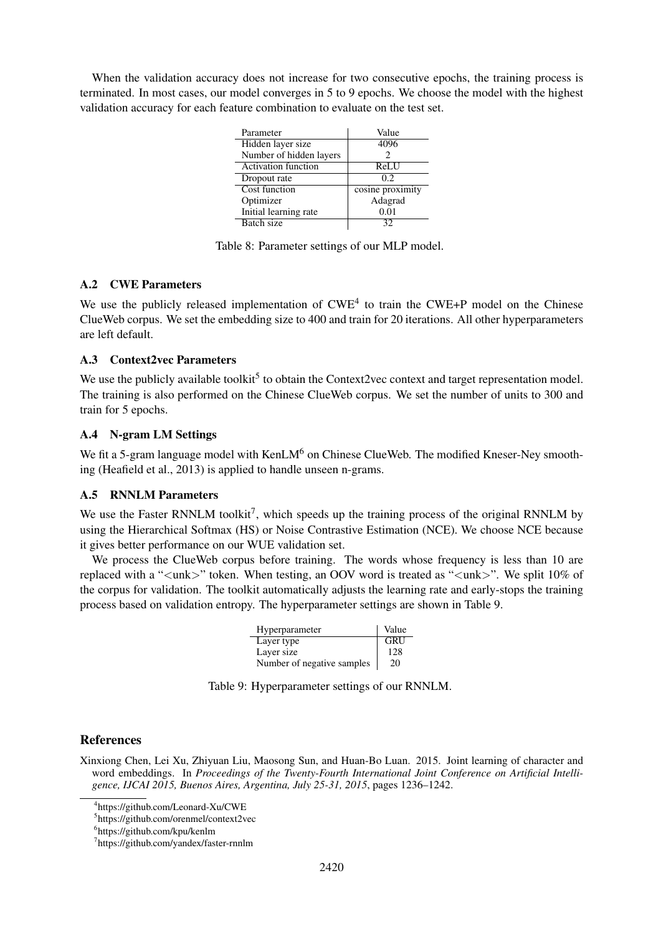When the validation accuracy does not increase for two consecutive epochs, the training process is terminated. In most cases, our model converges in 5 to 9 epochs. We choose the model with the highest validation accuracy for each feature combination to evaluate on the test set.

| Parameter                  | Value            |
|----------------------------|------------------|
| Hidden layer size          | 4096             |
| Number of hidden layers    | 2                |
| <b>Activation function</b> | <b>ReLU</b>      |
| Dropout rate               | 0.2              |
| Cost function              | cosine proximity |
| Optimizer                  | Adagrad          |
| Initial learning rate      | 0.01             |
| Batch size                 |                  |

Table 8: Parameter settings of our MLP model.

# A.2 CWE Parameters

We use the publicly released implementation of  $CWE<sup>4</sup>$  to train the  $CWE+P$  model on the Chinese ClueWeb corpus. We set the embedding size to 400 and train for 20 iterations. All other hyperparameters are left default.

# A.3 Context2vec Parameters

We use the publicly available toolkit<sup>5</sup> to obtain the Context2vec context and target representation model. The training is also performed on the Chinese ClueWeb corpus. We set the number of units to 300 and train for 5 epochs.

# A.4 N-gram LM Settings

We fit a 5-gram language model with  $\text{KenLM}^6$  on Chinese ClueWeb. The modified Kneser-Ney smoothing (Heafield et al., 2013) is applied to handle unseen n-grams.

# A.5 RNNLM Parameters

We use the Faster RNNLM toolkit<sup>7</sup>, which speeds up the training process of the original RNNLM by using the Hierarchical Softmax (HS) or Noise Contrastive Estimation (NCE). We choose NCE because it gives better performance on our WUE validation set.

We process the ClueWeb corpus before training. The words whose frequency is less than 10 are replaced with a " $\langle$ unk $\rangle$ " token. When testing, an OOV word is treated as " $\langle$ unk $\rangle$ ". We split 10% of the corpus for validation. The toolkit automatically adjusts the learning rate and early-stops the training process based on validation entropy. The hyperparameter settings are shown in Table 9.

| Hyperparameter             | Value |
|----------------------------|-------|
| Layer type                 | GRU   |
| Layer size                 | 128   |
| Number of negative samples | 20    |

Table 9: Hyperparameter settings of our RNNLM.

# References

Xinxiong Chen, Lei Xu, Zhiyuan Liu, Maosong Sun, and Huan-Bo Luan. 2015. Joint learning of character and word embeddings. In *Proceedings of the Twenty-Fourth International Joint Conference on Artificial Intelligence, IJCAI 2015, Buenos Aires, Argentina, July 25-31, 2015*, pages 1236–1242.

<sup>4</sup> https://github.com/Leonard-Xu/CWE

<sup>5</sup> https://github.com/orenmel/context2vec

<sup>6</sup> https://github.com/kpu/kenlm

<sup>7</sup> https://github.com/yandex/faster-rnnlm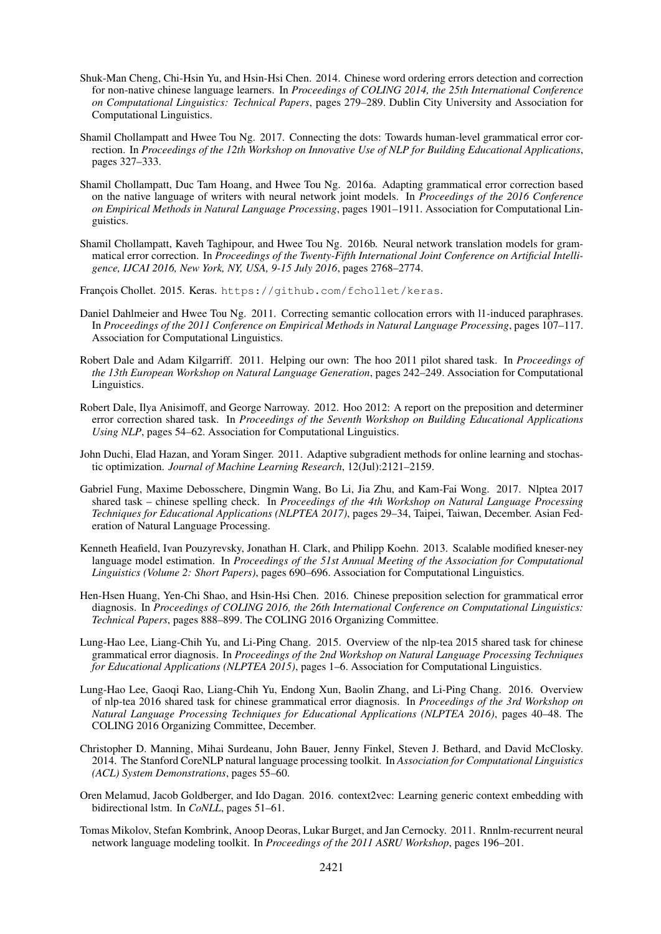- Shuk-Man Cheng, Chi-Hsin Yu, and Hsin-Hsi Chen. 2014. Chinese word ordering errors detection and correction for non-native chinese language learners. In *Proceedings of COLING 2014, the 25th International Conference on Computational Linguistics: Technical Papers*, pages 279–289. Dublin City University and Association for Computational Linguistics.
- Shamil Chollampatt and Hwee Tou Ng. 2017. Connecting the dots: Towards human-level grammatical error correction. In *Proceedings of the 12th Workshop on Innovative Use of NLP for Building Educational Applications*, pages 327–333.
- Shamil Chollampatt, Duc Tam Hoang, and Hwee Tou Ng. 2016a. Adapting grammatical error correction based on the native language of writers with neural network joint models. In *Proceedings of the 2016 Conference on Empirical Methods in Natural Language Processing*, pages 1901–1911. Association for Computational Linguistics.
- Shamil Chollampatt, Kaveh Taghipour, and Hwee Tou Ng. 2016b. Neural network translation models for grammatical error correction. In *Proceedings of the Twenty-Fifth International Joint Conference on Artificial Intelligence, IJCAI 2016, New York, NY, USA, 9-15 July 2016*, pages 2768–2774.

François Chollet. 2015. Keras. https://github.com/fchollet/keras.

- Daniel Dahlmeier and Hwee Tou Ng. 2011. Correcting semantic collocation errors with l1-induced paraphrases. In *Proceedings of the 2011 Conference on Empirical Methods in Natural Language Processing*, pages 107–117. Association for Computational Linguistics.
- Robert Dale and Adam Kilgarriff. 2011. Helping our own: The hoo 2011 pilot shared task. In *Proceedings of the 13th European Workshop on Natural Language Generation*, pages 242–249. Association for Computational Linguistics.
- Robert Dale, Ilya Anisimoff, and George Narroway. 2012. Hoo 2012: A report on the preposition and determiner error correction shared task. In *Proceedings of the Seventh Workshop on Building Educational Applications Using NLP*, pages 54–62. Association for Computational Linguistics.
- John Duchi, Elad Hazan, and Yoram Singer. 2011. Adaptive subgradient methods for online learning and stochastic optimization. *Journal of Machine Learning Research*, 12(Jul):2121–2159.
- Gabriel Fung, Maxime Debosschere, Dingmin Wang, Bo Li, Jia Zhu, and Kam-Fai Wong. 2017. Nlptea 2017 shared task – chinese spelling check. In *Proceedings of the 4th Workshop on Natural Language Processing Techniques for Educational Applications (NLPTEA 2017)*, pages 29–34, Taipei, Taiwan, December. Asian Federation of Natural Language Processing.
- Kenneth Heafield, Ivan Pouzyrevsky, Jonathan H. Clark, and Philipp Koehn. 2013. Scalable modified kneser-ney language model estimation. In *Proceedings of the 51st Annual Meeting of the Association for Computational Linguistics (Volume 2: Short Papers)*, pages 690–696. Association for Computational Linguistics.
- Hen-Hsen Huang, Yen-Chi Shao, and Hsin-Hsi Chen. 2016. Chinese preposition selection for grammatical error diagnosis. In *Proceedings of COLING 2016, the 26th International Conference on Computational Linguistics: Technical Papers*, pages 888–899. The COLING 2016 Organizing Committee.
- Lung-Hao Lee, Liang-Chih Yu, and Li-Ping Chang. 2015. Overview of the nlp-tea 2015 shared task for chinese grammatical error diagnosis. In *Proceedings of the 2nd Workshop on Natural Language Processing Techniques for Educational Applications (NLPTEA 2015)*, pages 1–6. Association for Computational Linguistics.
- Lung-Hao Lee, Gaoqi Rao, Liang-Chih Yu, Endong Xun, Baolin Zhang, and Li-Ping Chang. 2016. Overview of nlp-tea 2016 shared task for chinese grammatical error diagnosis. In *Proceedings of the 3rd Workshop on Natural Language Processing Techniques for Educational Applications (NLPTEA 2016)*, pages 40–48. The COLING 2016 Organizing Committee, December.
- Christopher D. Manning, Mihai Surdeanu, John Bauer, Jenny Finkel, Steven J. Bethard, and David McClosky. 2014. The Stanford CoreNLP natural language processing toolkit. In *Association for Computational Linguistics (ACL) System Demonstrations*, pages 55–60.
- Oren Melamud, Jacob Goldberger, and Ido Dagan. 2016. context2vec: Learning generic context embedding with bidirectional lstm. In *CoNLL*, pages 51–61.
- Tomas Mikolov, Stefan Kombrink, Anoop Deoras, Lukar Burget, and Jan Cernocky. 2011. Rnnlm-recurrent neural network language modeling toolkit. In *Proceedings of the 2011 ASRU Workshop*, pages 196–201.